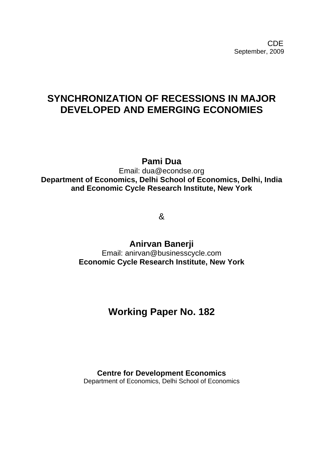**CDE COLLECTION** September, 2009

# **SYNCHRONIZATION OF RECESSIONS IN MAJOR DEVELOPED AND EMERGING ECONOMIES**

**Pami Dua** 

Email: dua@econdse.org **Department of Economics, Delhi School of Economics, Delhi, India and Economic Cycle Research Institute, New York** 

&

**Anirvan Banerji**  Email: anirvan@businesscycle.com **Economic Cycle Research Institute, New York** 

# **Working Paper No. 182**

**Centre for Development Economics**  Department of Economics, Delhi School of Economics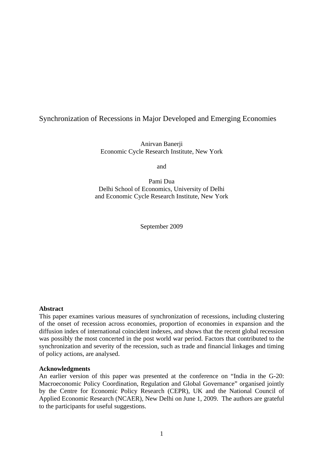# Synchronization of Recessions in Major Developed and Emerging Economies

Anirvan Banerji Economic Cycle Research Institute, New York

and

Pami Dua Delhi School of Economics, University of Delhi and Economic Cycle Research Institute, New York

September 2009

#### **Abstract**

This paper examines various measures of synchronization of recessions, including clustering of the onset of recession across economies, proportion of economies in expansion and the diffusion index of international coincident indexes, and shows that the recent global recession was possibly the most concerted in the post world war period. Factors that contributed to the synchronization and severity of the recession, such as trade and financial linkages and timing of policy actions, are analysed.

#### **Acknowledgments**

An earlier version of this paper was presented at the conference on "India in the G-20: Macroeconomic Policy Coordination, Regulation and Global Governance" organised jointly by the Centre for Economic Policy Research (CEPR), UK and the National Council of Applied Economic Research (NCAER), New Delhi on June 1, 2009. The authors are grateful to the participants for useful suggestions.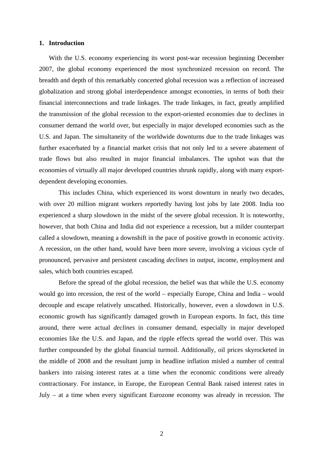#### **1. Introduction**

With the U.S. economy experiencing its worst post-war recession beginning December 2007, the global economy experienced the most synchronized recession on record. The breadth and depth of this remarkably concerted global recession was a reflection of increased globalization and strong global interdependence amongst economies, in terms of both their financial interconnections and trade linkages. The trade linkages, in fact, greatly amplified the transmission of the global recession to the export-oriented economies due to declines in consumer demand the world over, but especially in major developed economies such as the U.S. and Japan. The simultaneity of the worldwide downturns due to the trade linkages was further exacerbated by a financial market crisis that not only led to a severe abatement of trade flows but also resulted in major financial imbalances. The upshot was that the economies of virtually all major developed countries shrunk rapidly, along with many exportdependent developing economies.

This includes China, which experienced its worst downturn in nearly two decades, with over 20 million migrant workers reportedly having lost jobs by late 2008. India too experienced a sharp slowdown in the midst of the severe global recession. It is noteworthy, however, that both China and India did not experience a recession, but a milder counterpart called a slowdown, meaning a downshift in the pace of positive growth in economic activity. A recession, on the other hand, would have been more severe, involving a vicious cycle of pronounced, pervasive and persistent cascading *declines* in output, income, employment and sales, which both countries escaped.

Before the spread of the global recession, the belief was that while the U.S. economy would go into recession, the rest of the world – especially Europe, China and India – would decouple and escape relatively unscathed. Historically, however, even a slowdown in U.S. economic growth has significantly damaged growth in European exports. In fact, this time around, there were actual *declines* in consumer demand, especially in major developed economies like the U.S. and Japan, and the ripple effects spread the world over. This was further compounded by the global financial turmoil. Additionally, oil prices skyrocketed in the middle of 2008 and the resultant jump in headline inflation misled a number of central bankers into raising interest rates at a time when the economic conditions were already contractionary. For instance, in Europe, the European Central Bank raised interest rates in July – at a time when every significant Eurozone economy was already in recession. The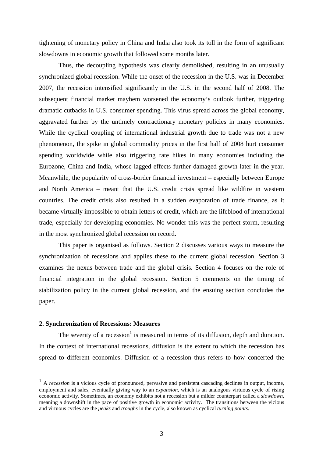tightening of monetary policy in China and India also took its toll in the form of significant slowdowns in economic growth that followed some months later.

Thus, the decoupling hypothesis was clearly demolished, resulting in an unusually synchronized global recession. While the onset of the recession in the U.S. was in December 2007, the recession intensified significantly in the U.S. in the second half of 2008. The subsequent financial market mayhem worsened the economy's outlook further, triggering dramatic cutbacks in U.S. consumer spending. This virus spread across the global economy, aggravated further by the untimely contractionary monetary policies in many economies. While the cyclical coupling of international industrial growth due to trade was not a new phenomenon, the spike in global commodity prices in the first half of 2008 hurt consumer spending worldwide while also triggering rate hikes in many economies including the Eurozone, China and India, whose lagged effects further damaged growth later in the year. Meanwhile, the popularity of cross-border financial investment – especially between Europe and North America – meant that the U.S. credit crisis spread like wildfire in western countries. The credit crisis also resulted in a sudden evaporation of trade finance, as it became virtually impossible to obtain letters of credit, which are the lifeblood of international trade, especially for developing economies. No wonder this was the perfect storm, resulting in the most synchronized global recession on record.

This paper is organised as follows. Section 2 discusses various ways to measure the synchronization of recessions and applies these to the current global recession. Section 3 examines the nexus between trade and the global crisis. Section 4 focuses on the role of financial integration in the global recession. Section 5 comments on the timing of stabilization policy in the current global recession, and the ensuing section concludes the paper.

#### **2. Synchronization of Recessions: Measures**

 $\overline{a}$ 

The severity of a recession<sup>1</sup> is measured in terms of its diffusion, depth and duration. In the context of international recessions, diffusion is the extent to which the recession has spread to different economies. Diffusion of a recession thus refers to how concerted the

<span id="page-3-0"></span><sup>&</sup>lt;sup>1</sup> A *recession* is a vicious cycle of pronounced, pervasive and persistent cascading declines in output, income, employment and sales, eventually giving way to an *expansion*, which is an analogous virtuous cycle of rising economic activity. Sometimes, an economy exhibits not a recession but a milder counterpart called a *slowdown*, meaning a downshift in the pace of positive growth in economic activity. The transitions between the vicious and virtuous cycles are the *peaks* and *troughs* in the cycle, also known as cyclical *turning points*.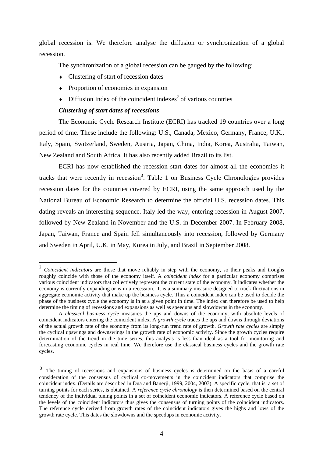global recession is. We therefore analyse the diffusion or synchronization of a global recession.

The synchronization of a global recession can be gauged by the following:

- ♦ Clustering of start of recession dates
- ♦ Proportion of economies in expansion
- $\bullet$  Diffusion Index of the coincident indexes<sup>[2](#page-4-0)</sup> of various countries

### *Clustering of start dates of recessions*

 $\overline{a}$ 

The Economic Cycle Research Institute (ECRI) has tracked 19 countries over a long period of time. These include the following: U.S., Canada, Mexico, Germany, France, U.K., Italy, Spain, Switzerland, Sweden, Austria, Japan, China, India, Korea, Australia, Taiwan, New Zealand and South Africa. It has also recently added Brazil to its list.

ECRI has now established the recession start dates for almost all the economies it tracks that were recently in recession<sup>[3](#page-4-1)</sup>. Table 1 on Business Cycle Chronologies provides recession dates for the countries covered by ECRI, using the same approach used by the National Bureau of Economic Research to determine the official U.S. recession dates. This dating reveals an interesting sequence. Italy led the way, entering recession in August 2007, followed by New Zealand in November and the U.S. in December 2007. In February 2008, Japan, Taiwan, France and Spain fell simultaneously into recession, followed by Germany and Sweden in April, U.K. in May, Korea in July, and Brazil in September 2008.

<span id="page-4-0"></span><sup>&</sup>lt;sup>2</sup> *Coincident indicators* are those that move reliably in step with the economy, so their peaks and troughs roughly coincide with those of the economy itself. A *coincident index* for a particular economy comprises various coincident indicators that collectively represent the current state of the economy. It indicates whether the economy is currently expanding or is in a recession. It is a summary measure designed to track fluctuations in aggregate economic activity that make up the business cycle. Thus a coincident index can be used to decide the phase of the business cycle the economy is in at a given point in time. The index can therefore be used to help determine the timing of recessions and expansions as well as speedups and slowdowns in the economy.

A *classical business cycle* measures the ups and downs of the economy, with absolute levels of coincident indicators entering the coincident index. A *growth cycle* traces the ups and downs through deviations of the actual growth rate of the economy from its long-run trend rate of growth. *Growth rate cycles* are simply the cyclical upswings and downswings in the growth rate of economic activity. Since the growth cycles require determination of the trend in the time series, this analysis is less than ideal as a tool for monitoring and forecasting economic cycles in real time. We therefore use the classical business cycles and the growth rate cycles.

<span id="page-4-1"></span><sup>&</sup>lt;sup>3</sup> The timing of recessions and expansions of business cycles is determined on the basis of a careful consideration of the consensus of cyclical co-movements in the coincident indicators that comprise the coincident index. (Details are described in Dua and Banerji, 1999, 2004, 2007). A specific cycle, that is, a set of turning points for each series, is obtained. A *reference cycle chronology* is then determined based on the central tendency of the individual tuning points in a set of coincident economic indicators. A reference cycle based on the levels of the coincident indicators thus gives the consensus of turning points of the coincident indicators. The reference cycle derived from growth rates of the coincident indicators gives the highs and lows of the growth rate cycle. This dates the slowdowns and the speedups in economic activity.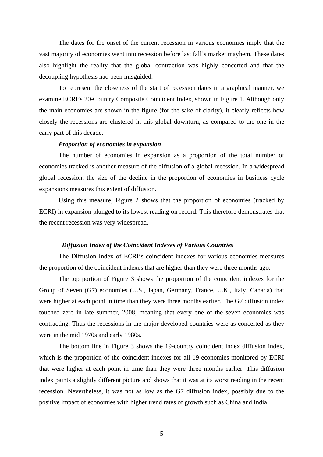The dates for the onset of the current recession in various economies imply that the vast majority of economies went into recession before last fall's market mayhem. These dates also highlight the reality that the global contraction was highly concerted and that the decoupling hypothesis had been misguided.

To represent the closeness of the start of recession dates in a graphical manner, we examine ECRI's 20-Country Composite Coincident Index, shown in Figure 1. Although only the main economies are shown in the figure (for the sake of clarity), it clearly reflects how closely the recessions are clustered in this global downturn, as compared to the one in the early part of this decade.

#### *Proportion of economies in expansion*

The number of economies in expansion as a proportion of the total number of economies tracked is another measure of the diffusion of a global recession. In a widespread global recession, the size of the decline in the proportion of economies in business cycle expansions measures this extent of diffusion.

Using this measure, Figure 2 shows that the proportion of economies (tracked by ECRI) in expansion plunged to its lowest reading on record. This therefore demonstrates that the recent recession was very widespread.

#### *Diffusion Index of the Coincident Indexes of Various Countries*

The Diffusion Index of ECRI's coincident indexes for various economies measures the proportion of the coincident indexes that are higher than they were three months ago.

The top portion of Figure 3 shows the proportion of the coincident indexes for the Group of Seven (G7) economies (U.S., Japan, Germany, France, U.K., Italy, Canada) that were higher at each point in time than they were three months earlier. The G7 diffusion index touched zero in late summer, 2008, meaning that every one of the seven economies was contracting. Thus the recessions in the major developed countries were as concerted as they were in the mid 1970s and early 1980s.

The bottom line in Figure 3 shows the 19-country coincident index diffusion index, which is the proportion of the coincident indexes for all 19 economies monitored by ECRI that were higher at each point in time than they were three months earlier. This diffusion index paints a slightly different picture and shows that it was at its worst reading in the recent recession. Nevertheless, it was not as low as the G7 diffusion index, possibly due to the positive impact of economies with higher trend rates of growth such as China and India.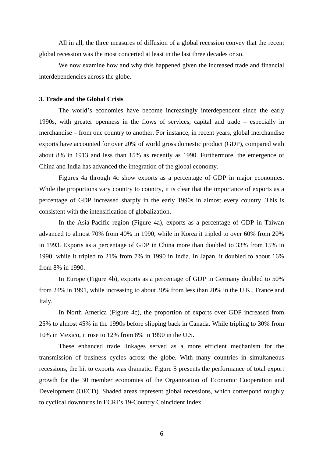All in all, the three measures of diffusion of a global recession convey that the recent global recession was the most concerted at least in the last three decades or so.

We now examine how and why this happened given the increased trade and financial interdependencies across the globe.

#### **3. Trade and the Global Crisis**

The world's economies have become increasingly interdependent since the early 1990s, with greater openness in the flows of services, capital and trade – especially in merchandise – from one country to another. For instance, in recent years, global merchandise exports have accounted for over 20% of world gross domestic product (GDP), compared with about 8% in 1913 and less than 15% as recently as 1990. Furthermore, the emergence of China and India has advanced the integration of the global economy.

Figures 4a through 4c show exports as a percentage of GDP in major economies. While the proportions vary country to country, it is clear that the importance of exports as a percentage of GDP increased sharply in the early 1990s in almost every country. This is consistent with the intensification of globalization.

In the Asia-Pacific region (Figure 4a), exports as a percentage of GDP in Taiwan advanced to almost 70% from 40% in 1990, while in Korea it tripled to over 60% from 20% in 1993. Exports as a percentage of GDP in China more than doubled to 33% from 15% in 1990, while it tripled to 21% from 7% in 1990 in India. In Japan, it doubled to about 16% from 8% in 1990.

In Europe (Figure 4b), exports as a percentage of GDP in Germany doubled to 50% from 24% in 1991, while increasing to about 30% from less than 20% in the U.K., France and Italy.

In North America (Figure 4c), the proportion of exports over GDP increased from 25% to almost 45% in the 1990s before slipping back in Canada. While tripling to 30% from 10% in Mexico, it rose to 12% from 8% in 1990 in the U.S.

These enhanced trade linkages served as a more efficient mechanism for the transmission of business cycles across the globe. With many countries in simultaneous recessions, the hit to exports was dramatic. Figure 5 presents the performance of total export growth for the 30 member economies of the Organization of Economic Cooperation and Development (OECD). Shaded areas represent global recessions, which correspond roughly to cyclical downturns in ECRI's 19-Country Coincident Index.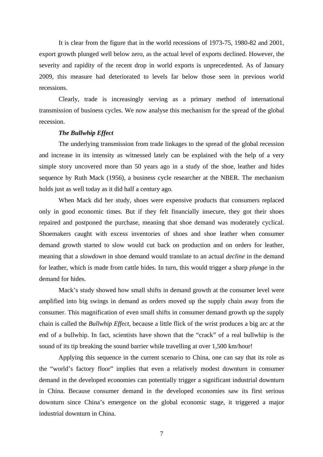It is clear from the figure that in the world recessions of 1973-75, 1980-82 and 2001, export growth plunged well below zero, as the actual level of exports declined. However, the severity and rapidity of the recent drop in world exports is unprecedented. As of January 2009, this measure had deteriorated to levels far below those seen in previous world recessions.

Clearly, trade is increasingly serving as a primary method of international transmission of business cycles. We now analyse this mechanism for the spread of the global recession.

#### *The Bullwhip Effect*

The underlying transmission from trade linkages to the spread of the global recession and increase in its intensity as witnessed lately can be explained with the help of a very simple story uncovered more than 50 years ago in a study of the shoe, leather and hides sequence by Ruth Mack (1956), a business cycle researcher at the NBER. The mechanism holds just as well today as it did half a century ago.

When Mack did her study, shoes were expensive products that consumers replaced only in good economic times. But if they felt financially insecure, they got their shoes repaired and postponed the purchase, meaning that shoe demand was moderately cyclical. Shoemakers caught with excess inventories of shoes and shoe leather when consumer demand growth started to slow would cut back on production and on orders for leather, meaning that a *slowdown* in shoe demand would translate to an actual *decline* in the demand for leather, which is made from cattle hides. In turn, this would trigger a sharp *plunge* in the demand for hides.

Mack's study showed how small shifts in demand growth at the consumer level were amplified into big swings in demand as orders moved up the supply chain away from the consumer. This magnification of even small shifts in consumer demand growth up the supply chain is called the *Bullwhip Effect*, because a little flick of the wrist produces a big arc at the end of a bullwhip. In fact, scientists have shown that the "crack" of a real bullwhip is the sound of its tip breaking the sound barrier while travelling at over 1,500 km/hour!

Applying this sequence in the current scenario to China, one can say that its role as the "world's factory floor" implies that even a relatively modest downturn in consumer demand in the developed economies can potentially trigger a significant industrial downturn in China. Because consumer demand in the developed economies saw its first serious downturn since China's emergence on the global economic stage, it triggered a major industrial downturn in China.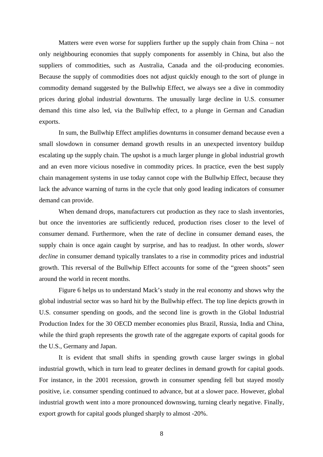Matters were even worse for suppliers further up the supply chain from China – not only neighbouring economies that supply components for assembly in China, but also the suppliers of commodities, such as Australia, Canada and the oil-producing economies. Because the supply of commodities does not adjust quickly enough to the sort of plunge in commodity demand suggested by the Bullwhip Effect, we always see a dive in commodity prices during global industrial downturns. The unusually large decline in U.S. consumer demand this time also led, via the Bullwhip effect, to a plunge in German and Canadian exports.

In sum, the Bullwhip Effect amplifies downturns in consumer demand because even a small slowdown in consumer demand growth results in an unexpected inventory buildup escalating up the supply chain. The upshot is a much larger plunge in global industrial growth and an even more vicious nosedive in commodity prices. In practice, even the best supply chain management systems in use today cannot cope with the Bullwhip Effect, because they lack the advance warning of turns in the cycle that only good leading indicators of consumer demand can provide.

When demand drops, manufacturers cut production as they race to slash inventories, but once the inventories are sufficiently reduced, production rises closer to the level of consumer demand. Furthermore, when the rate of decline in consumer demand eases, the supply chain is once again caught by surprise, and has to readjust. In other words, *slower decline* in consumer demand typically translates to a rise in commodity prices and industrial growth. This reversal of the Bullwhip Effect accounts for some of the "green shoots" seen around the world in recent months.

Figure 6 helps us to understand Mack's study in the real economy and shows why the global industrial sector was so hard hit by the Bullwhip effect. The top line depicts growth in U.S. consumer spending on goods, and the second line is growth in the Global Industrial Production Index for the 30 OECD member economies plus Brazil, Russia, India and China, while the third graph represents the growth rate of the aggregate exports of capital goods for the U.S., Germany and Japan.

It is evident that small shifts in spending growth cause larger swings in global industrial growth, which in turn lead to greater declines in demand growth for capital goods. For instance, in the 2001 recession, growth in consumer spending fell but stayed mostly positive, i.e. consumer spending continued to advance, but at a slower pace. However, global industrial growth went into a more pronounced downswing, turning clearly negative. Finally, export growth for capital goods plunged sharply to almost -20%.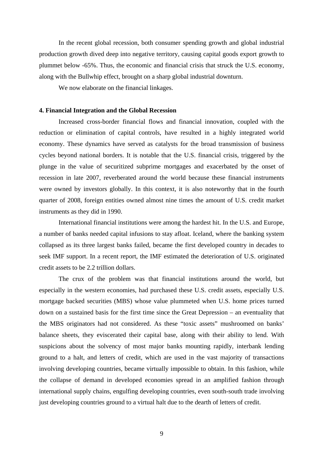In the recent global recession, both consumer spending growth and global industrial production growth dived deep into negative territory, causing capital goods export growth to plummet below -65%. Thus, the economic and financial crisis that struck the U.S. economy, along with the Bullwhip effect, brought on a sharp global industrial downturn.

We now elaborate on the financial linkages.

#### **4. Financial Integration and the Global Recession**

Increased cross-border financial flows and financial innovation, coupled with the reduction or elimination of capital controls, have resulted in a highly integrated world economy. These dynamics have served as catalysts for the broad transmission of business cycles beyond national borders. It is notable that the U.S. financial crisis, triggered by the plunge in the value of securitized subprime mortgages and exacerbated by the onset of recession in late 2007, reverberated around the world because these financial instruments were owned by investors globally. In this context, it is also noteworthy that in the fourth quarter of 2008, foreign entities owned almost nine times the amount of U.S. credit market instruments as they did in 1990.

International financial institutions were among the hardest hit. In the U.S. and Europe, a number of banks needed capital infusions to stay afloat. Iceland, where the banking system collapsed as its three largest banks failed, became the first developed country in decades to seek IMF support. In a recent report, the IMF estimated the deterioration of U.S. originated credit assets to be 2.2 trillion dollars.

The crux of the problem was that financial institutions around the world, but especially in the western economies, had purchased these U.S. credit assets, especially U.S. mortgage backed securities (MBS) whose value plummeted when U.S. home prices turned down on a sustained basis for the first time since the Great Depression – an eventuality that the MBS originators had not considered. As these "toxic assets" mushroomed on banks' balance sheets, they eviscerated their capital base, along with their ability to lend. With suspicions about the solvency of most major banks mounting rapidly, interbank lending ground to a halt, and letters of credit, which are used in the vast majority of transactions involving developing countries, became virtually impossible to obtain. In this fashion, while the collapse of demand in developed economies spread in an amplified fashion through international supply chains, engulfing developing countries, even south-south trade involving just developing countries ground to a virtual halt due to the dearth of letters of credit.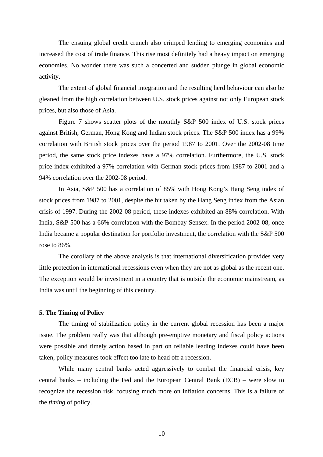The ensuing global credit crunch also crimped lending to emerging economies and increased the cost of trade finance. This rise most definitely had a heavy impact on emerging economies. No wonder there was such a concerted and sudden plunge in global economic activity.

The extent of global financial integration and the resulting herd behaviour can also be gleaned from the high correlation between U.S. stock prices against not only European stock prices, but also those of Asia.

Figure 7 shows scatter plots of the monthly S&P 500 index of U.S. stock prices against British, German, Hong Kong and Indian stock prices. The S&P 500 index has a 99% correlation with British stock prices over the period 1987 to 2001. Over the 2002-08 time period, the same stock price indexes have a 97% correlation. Furthermore, the U.S. stock price index exhibited a 97% correlation with German stock prices from 1987 to 2001 and a 94% correlation over the 2002-08 period.

In Asia, S&P 500 has a correlation of 85% with Hong Kong's Hang Seng index of stock prices from 1987 to 2001, despite the hit taken by the Hang Seng index from the Asian crisis of 1997. During the 2002-08 period, these indexes exhibited an 88% correlation. With India, S&P 500 has a 66% correlation with the Bombay Sensex. In the period 2002-08, once India became a popular destination for portfolio investment, the correlation with the S&P 500 rose to 86%.

The corollary of the above analysis is that international diversification provides very little protection in international recessions even when they are not as global as the recent one. The exception would be investment in a country that is outside the economic mainstream, as India was until the beginning of this century.

#### **5. The Timing of Policy**

The timing of stabilization policy in the current global recession has been a major issue. The problem really was that although pre-emptive monetary and fiscal policy actions were possible and timely action based in part on reliable leading indexes could have been taken, policy measures took effect too late to head off a recession.

While many central banks acted aggressively to combat the financial crisis, key central banks – including the Fed and the European Central Bank (ECB) – were slow to recognize the recession risk, focusing much more on inflation concerns. This is a failure of the *timing* of policy.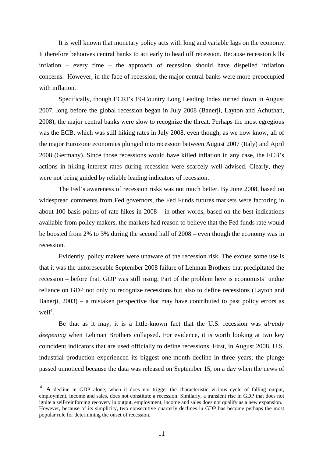It is well known that monetary policy acts with long and variable lags on the economy. It therefore behooves central banks to act early to head off recession. Because recession kills inflation – every time – the approach of recession should have dispelled inflation concerns. However, in the face of recession, the major central banks were more preoccupied with inflation.

Specifically, though ECRI's 19-Country Long Leading Index turned down in August 2007, long before the global recession began in July 2008 (Banerji, Layton and Achuthan, 2008), the major central banks were slow to recognize the threat. Perhaps the most egregious was the ECB, which was still hiking rates in July 2008, even though, as we now know, all of the major Eurozone economies plunged into recession between August 2007 (Italy) and April 2008 (Germany). Since those recessions would have killed inflation in any case, the ECB's actions in hiking interest rates during recession were scarcely well advised. Clearly, they were not being guided by reliable leading indicators of recession.

The Fed's awareness of recession risks was not much better. By June 2008, based on widespread comments from Fed governors, the Fed Funds futures markets were factoring in about 100 basis points of rate hikes in 2008 – in other words, based on the best indications available from policy makers, the markets had reason to believe that the Fed funds rate would be boosted from 2% to 3% during the second half of 2008 – even though the economy was in recession.

Evidently, policy makers were unaware of the recession risk. The excuse some use is that it was the unforeseeable September 2008 failure of Lehman Brothers that precipitated the recession – before that, GDP was still rising. Part of the problem here is economists' undue reliance on GDP not only to recognize recessions but also to define recessions (Layton and Banerji, 2003) – a mistaken perspective that may have contributed to past policy errors as  $well<sup>4</sup>$  $well<sup>4</sup>$  $well<sup>4</sup>$ .

Be that as it may, it is a little-known fact that the U.S. recession was *already deepening* when Lehman Brothers collapsed. For evidence, it is worth looking at two key coincident indicators that are used officially to define recessions. First, in August 2008, U.S. industrial production experienced its biggest one-month decline in three years; the plunge passed unnoticed because the data was released on September 15, on a day when the news of

 $\overline{a}$ 

<span id="page-11-0"></span><sup>4</sup> A decline in GDP alone, when it does not trigger the characteristic vicious cycle of falling output, employment, income and sales, does not constitute a recession. Similarly, a transient rise in GDP that does not ignite a self-reinforcing recovery in output, employment, income and sales does not qualify as a new expansion. However, because of its simplicity, two consecutive quarterly declines in GDP has become perhaps the most popular rule for determining the onset of recession.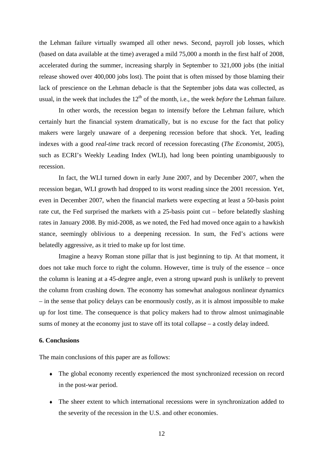the Lehman failure virtually swamped all other news. Second, payroll job losses, which (based on data available at the time) averaged a mild 75,000 a month in the first half of 2008, accelerated during the summer, increasing sharply in September to 321,000 jobs (the initial release showed over 400,000 jobs lost). The point that is often missed by those blaming their lack of prescience on the Lehman debacle is that the September jobs data was collected, as usual, in the week that includes the  $12<sup>th</sup>$  of the month, i.e., the week *before* the Lehman failure.

In other words, the recession began to intensify before the Lehman failure, which certainly hurt the financial system dramatically, but is no excuse for the fact that policy makers were largely unaware of a deepening recession before that shock. Yet, leading indexes with a good *real-time* track record of recession forecasting (*The Economist*, 2005), such as ECRI's Weekly Leading Index (WLI), had long been pointing unambiguously to recession.

In fact, the WLI turned down in early June 2007, and by December 2007, when the recession began, WLI growth had dropped to its worst reading since the 2001 recession. Yet, even in December 2007, when the financial markets were expecting at least a 50-basis point rate cut, the Fed surprised the markets with a 25-basis point cut – before belatedly slashing rates in January 2008. By mid-2008, as we noted, the Fed had moved once again to a hawkish stance, seemingly oblivious to a deepening recession. In sum, the Fed's actions were belatedly aggressive, as it tried to make up for lost time.

Imagine a heavy Roman stone pillar that is just beginning to tip. At that moment, it does not take much force to right the column. However, time is truly of the essence – once the column is leaning at a 45-degree angle, even a strong upward push is unlikely to prevent the column from crashing down. The economy has somewhat analogous nonlinear dynamics – in the sense that policy delays can be enormously costly, as it is almost impossible to make up for lost time. The consequence is that policy makers had to throw almost unimaginable sums of money at the economy just to stave off its total collapse – a costly delay indeed.

#### **6. Conclusions**

The main conclusions of this paper are as follows:

- ♦ The global economy recently experienced the most synchronized recession on record in the post-war period.
- ♦ The sheer extent to which international recessions were in synchronization added to the severity of the recession in the U.S. and other economies.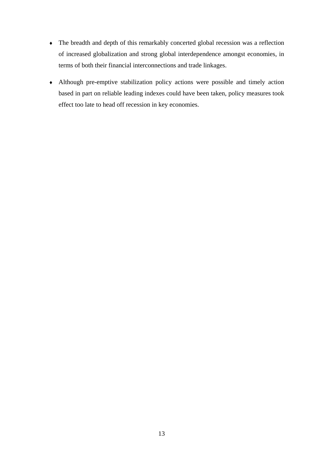- ♦ The breadth and depth of this remarkably concerted global recession was a reflection of increased globalization and strong global interdependence amongst economies, in terms of both their financial interconnections and trade linkages.
- ♦ Although pre-emptive stabilization policy actions were possible and timely action based in part on reliable leading indexes could have been taken, policy measures took effect too late to head off recession in key economies.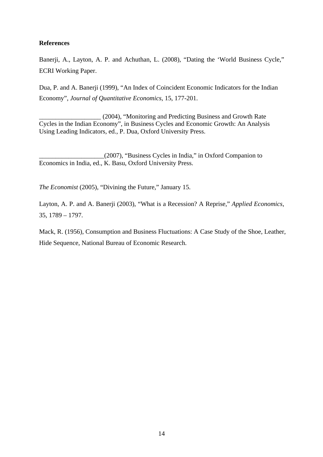## **References**

Banerji, A., Layton, A. P. and Achuthan, L. (2008), "Dating the 'World Business Cycle," ECRI Working Paper.

Dua, P. and A. Banerji (1999), "An Index of Coincident Economic Indicators for the Indian Economy", *Journal of Quantitative Economics*, 15, 177-201.

\_\_\_\_\_\_\_\_\_\_\_\_\_\_\_\_\_\_\_ (2004), "Monitoring and Predicting Business and Growth Rate Cycles in the Indian Economy", in Business Cycles and Economic Growth: An Analysis Using Leading Indicators*,* ed., P. Dua, Oxford University Press.

\_\_\_\_\_\_\_\_\_\_\_\_\_\_\_\_\_\_\_\_(2007), "Business Cycles in India," in Oxford Companion to Economics in India, ed., K. Basu, Oxford University Press.

*The Economist* (2005), "Divining the Future," January 15.

Layton, A. P. and A. Banerji (2003), "What is a Recession? A Reprise," *Applied Economics*, 35, 1789 – 1797.

Mack, R. (1956), Consumption and Business Fluctuations: A Case Study of the Shoe, Leather, Hide Sequence, National Bureau of Economic Research.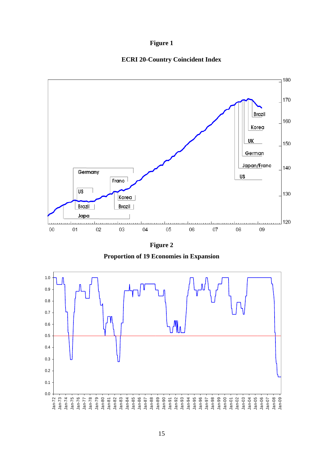# **Figure 1**

## **ECRI 20-Country Coincident Index**



**Figure 2 Proportion of 19 Economies in Expansion**

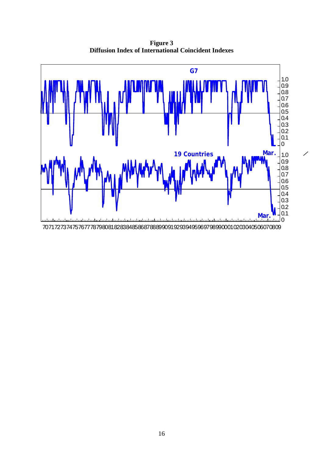**Figure 3 Diffusion Index of International Coincident Indexes** 

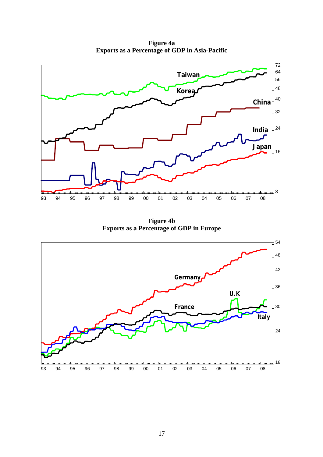**Figure 4a Exports as a Percentage of GDP in Asia-Pacific** 



**Figure 4b Exports as a Percentage of GDP in Europe** 

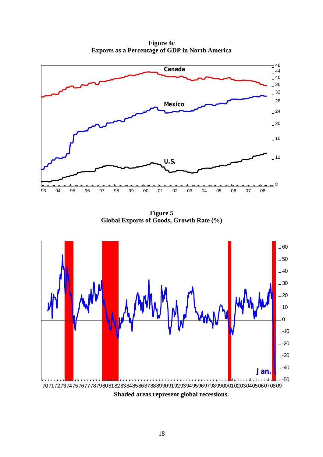**Figure 4c Exports as a Percentage of GDP in North America** 



**Figure 5 Global Exports of Goods, Growth Rate (%)** 



**Shaded areas represent global recessions.**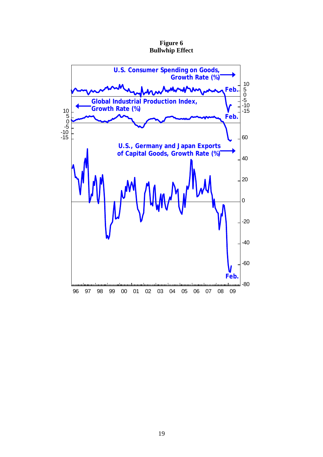**Figure 6 Bullwhip Effect** 

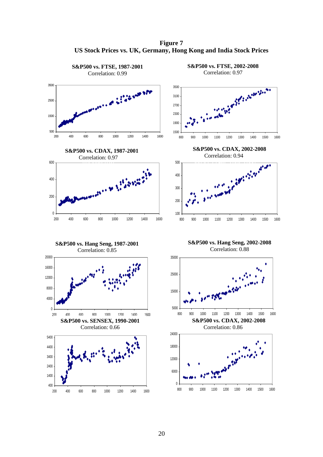**Figure 7 US Stock Prices vs. UK, Germany, Hong Kong and India Stock Prices** 

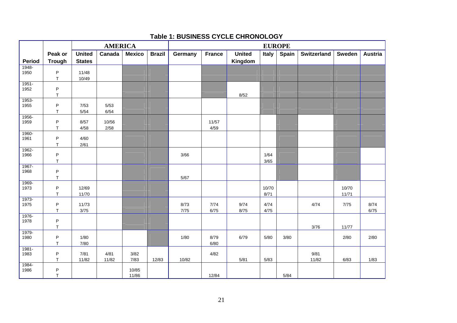|                  |                        |                | <b>AMERICA</b> |               |               | <b>EUROPE</b> |               |               |              |       |                    |        |                |  |  |  |
|------------------|------------------------|----------------|----------------|---------------|---------------|---------------|---------------|---------------|--------------|-------|--------------------|--------|----------------|--|--|--|
|                  | Peak or                | <b>United</b>  | Canada         | <b>Mexico</b> | <b>Brazil</b> | Germany       | <b>France</b> | <b>United</b> | <b>Italy</b> | Spain | <b>Switzerland</b> | Sweden | <b>Austria</b> |  |  |  |
| Period           | <b>Trough</b>          | <b>States</b>  |                |               |               |               |               | Kingdom       |              |       |                    |        |                |  |  |  |
| 1948-            |                        |                |                |               |               |               |               |               |              |       |                    |        |                |  |  |  |
| 1950             | $\mathsf{P}$<br>$\top$ | 11/48<br>10/49 |                |               |               |               |               |               |              |       |                    |        |                |  |  |  |
| $1951 -$         |                        |                |                |               |               |               |               |               |              |       |                    |        |                |  |  |  |
| 1952             | $\mathsf{P}$           |                |                |               |               |               |               |               |              |       |                    |        |                |  |  |  |
|                  | $\top$                 |                |                |               |               |               |               | 8/52          |              |       |                    |        |                |  |  |  |
| 1953-<br>1955    | $\sf P$                | $7/53$         | 5/53           |               |               |               |               |               |              |       |                    |        |                |  |  |  |
|                  | $\top$                 | $5/54$         | 6/54           |               |               |               |               |               |              |       |                    |        |                |  |  |  |
| 1956-            |                        |                |                |               |               |               |               |               |              |       |                    |        |                |  |  |  |
| 1959             | $\mathsf{P}$           | 8/57           | 10/56          |               |               |               | 11/57         |               |              |       |                    |        |                |  |  |  |
|                  | $\top$                 | 4/58           | 2/58           |               |               |               | 4/59          |               |              |       |                    |        |                |  |  |  |
| 1960-<br>1961    | $\mathsf{P}$           | 4/60           |                |               |               |               |               |               |              |       |                    |        |                |  |  |  |
|                  | $\top$                 | 2/61           |                |               |               |               |               |               |              |       |                    |        |                |  |  |  |
| 1962-            |                        |                |                |               |               |               |               |               |              |       |                    |        |                |  |  |  |
| 1966             | $\sf P$                |                |                |               |               | $3/66$        |               |               | 1/64         |       |                    |        |                |  |  |  |
| 1967-            | $\mathsf{T}$           |                |                |               |               |               |               |               | $3/65$       |       |                    |        |                |  |  |  |
| 1968             | P                      |                |                |               |               |               |               |               |              |       |                    |        |                |  |  |  |
|                  | $\top$                 |                |                |               |               | 5/67          |               |               |              |       |                    |        |                |  |  |  |
| 1969-            |                        |                |                |               |               |               |               |               |              |       |                    |        |                |  |  |  |
| 1973             | $\sf P$                | 12/69          |                |               |               |               |               |               | 10/70        |       |                    | 10/70  |                |  |  |  |
| 1973-            | $\top$                 | 11/70          |                |               |               |               |               |               | 8/71         |       |                    | 11/71  |                |  |  |  |
| 1975             | $\sf P$                | 11/73          |                |               |               | 8/73          | 7/74          | 9/74          | 4/74         |       | 4/74               | 7/75   | 8/74           |  |  |  |
|                  | $\top$                 | 3/75           |                |               |               | $7/75$        | 6/75          | 8/75          | 4/75         |       |                    |        | 6/75           |  |  |  |
| 1976-<br>1978    |                        |                |                |               |               |               |               |               |              |       |                    |        |                |  |  |  |
|                  | $\mathsf{P}$<br>$\top$ |                |                |               |               |               |               |               |              |       | $3/76$             | 11/77  |                |  |  |  |
| 1979-            |                        |                |                |               |               |               |               |               |              |       |                    |        |                |  |  |  |
| 1980             | $\sf P$                | 1/80           |                |               |               | 1/80          | 8/79          | 6/79          | 5/80         | 3/80  |                    | 2/80   | 2/80           |  |  |  |
|                  | $\top$                 | $7/80$         |                |               |               |               | 6/80          |               |              |       |                    |        |                |  |  |  |
| $1981 -$<br>1983 | $\sf P$                | 7/81           | 4/81           | 3/82          |               |               | 4/82          |               |              |       | 9/81               |        |                |  |  |  |
|                  | $\top$                 | 11/82          | 11/82          | 7/83          | 12/83         | 10/82         |               | 5/81          | 5/83         |       | 11/82              | 6/83   | 1/83           |  |  |  |
| 1984-            |                        |                |                |               |               |               |               |               |              |       |                    |        |                |  |  |  |
| 1986             | $\sf P$                |                |                | 10/85         |               |               |               |               |              |       |                    |        |                |  |  |  |
|                  | $\top$                 |                |                | 11/86         |               |               | 12/84         |               |              | 5/84  |                    |        |                |  |  |  |

## **Table 1: BUSINESS CYCLE CHRONOLOGY**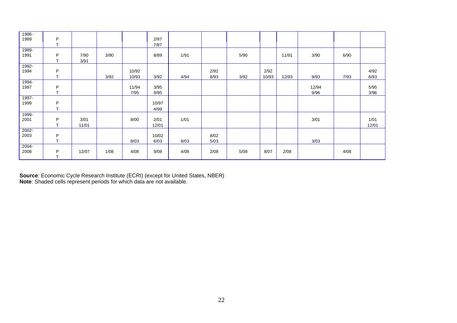| 1986-    |                 |       |      |       |       |      |      |      |       |       |       |      |       |
|----------|-----------------|-------|------|-------|-------|------|------|------|-------|-------|-------|------|-------|
| 1989     | P               |       |      |       | 2/87  |      |      |      |       |       |       |      |       |
|          | т               |       |      |       | 7/87  |      |      |      |       |       |       |      |       |
|          |                 |       |      |       |       |      |      |      |       |       |       |      |       |
| 1989-    |                 |       |      |       |       |      |      |      |       |       |       |      |       |
| 1991     | P               | 7/90  | 3/90 |       | 8/89  | 1/91 |      | 5/90 |       | 11/91 | 3/90  | 6/90 |       |
|          | $\mathbf{\tau}$ | 3/91  |      |       |       |      |      |      |       |       |       |      |       |
| 1992-    |                 |       |      |       |       |      |      |      |       |       |       |      |       |
| 1994     | P               |       |      | 10/92 |       |      | 2/92 |      | 2/92  |       |       |      | 4/92  |
|          | $\mathbf{r}$    |       | 3/92 | 10/93 | 3/92  | 4/94 | 8/93 | 3/92 | 10/93 | 12/93 | 9/93  | 7/93 | 6/93  |
| 1994-    |                 |       |      |       |       |      |      |      |       |       |       |      |       |
| 1997     | P               |       |      | 11/94 | 3/95  |      |      |      |       |       | 12/94 |      | 5/95  |
|          | $\mathbf$       |       |      | 7/95  | 9/95  |      |      |      |       |       | 9/96  |      | 3/96  |
| 1997-    |                 |       |      |       |       |      |      |      |       |       |       |      |       |
| 1999     | P               |       |      |       | 10/97 |      |      |      |       |       |       |      |       |
|          | $\mathbf{\tau}$ |       |      |       |       |      |      |      |       |       |       |      |       |
|          |                 |       |      |       | 4/99  |      |      |      |       |       |       |      |       |
| 1999-    |                 |       |      |       |       |      |      |      |       |       |       |      |       |
| 2001     | P               | 3/01  |      | 8/00  | 2/01  | 1/01 |      |      |       |       | 3/01  |      | 1/01  |
|          | $\mathbf{\tau}$ | 11/01 |      |       | 12/01 |      |      |      |       |       |       |      | 12/01 |
| $2002 -$ |                 |       |      |       |       |      |      |      |       |       |       |      |       |
| 2003     | P               |       |      |       | 10/02 |      | 8/02 |      |       |       |       |      |       |
|          | $\mathbf$       |       |      | 8/03  | 6/03  | 8/03 | 5/03 |      |       |       | 3/03  |      |       |
| 2004-    |                 |       |      |       |       |      |      |      |       |       |       |      |       |
| 2008     | P               | 12/07 | 1/08 | 4/08  | 9/08  | 4/08 | 2/08 | 5/08 | 8/07  | 2/08  |       | 4/08 |       |
|          |                 |       |      |       |       |      |      |      |       |       |       |      |       |

**Source**: Economic Cycle Research Institute (ECRI) (except for United States, NBER) **Note**: Shaded cells represent periods for which data are not available.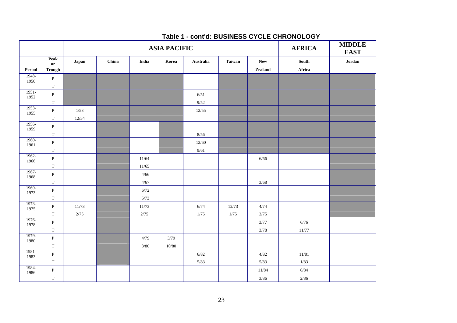|                 |                             |       |       |        | <b>AFRICA</b> | <b>MIDDLE</b><br><b>EAST</b> |               |                              |                 |        |
|-----------------|-----------------------------|-------|-------|--------|---------------|------------------------------|---------------|------------------------------|-----------------|--------|
| Period          | Peak<br>or<br><b>Trough</b> | Japan | China | India  | Korea         | Australia                    | <b>Taiwan</b> | <b>New</b><br><b>Zealand</b> | South<br>Africa | Jordan |
| 1948-<br>1950   | ${\bf P}$                   |       |       |        |               |                              |               |                              |                 |        |
|                 | $\mathbf T$                 |       |       |        |               |                              |               |                              |                 |        |
| $1951-$<br>1952 | $\, {\bf P}$                |       |       |        |               | 6/51                         |               |                              |                 |        |
|                 | $\mathbf T$                 |       |       |        |               | 9/52                         |               |                              |                 |        |
| $1953-$<br>1955 | $\, {\bf P}$                | 1/53  |       |        |               | 12/55                        |               |                              |                 |        |
|                 | ${\bf T}$                   | 12/54 |       |        |               |                              |               |                              |                 |        |
| 1956-<br>1959   | $\mathbf{P}$                |       |       |        |               |                              |               |                              |                 |        |
|                 | ${\bf T}$                   |       |       |        |               | 8/56                         |               |                              |                 |        |
| 1960-           | $\mathbf{P}$                |       |       |        |               | 12/60                        |               |                              |                 |        |
| 1961            | $\mathbf T$                 |       |       |        |               | 9/61                         |               |                              |                 |        |
| $1962 -$        | $\mathbf{P}$                |       |       | 11/64  |               |                              |               | 6/66                         |                 |        |
| 1966            | $\mathbf T$                 |       |       | 11/65  |               |                              |               |                              |                 |        |
| $1967-$         | $\mathbf{P}$                |       |       | 4/66   |               |                              |               |                              |                 |        |
| 1968            | ${\bf T}$                   |       |       | 4/67   |               |                              |               | 3/68                         |                 |        |
| 1969-           | $\, {\bf P}$                |       |       | 6/72   |               |                              |               |                              |                 |        |
| 1973            | ${\bf T}$                   |       |       | 5/73   |               |                              |               |                              |                 |        |
| $1973-$         | $\, {\bf P}$                | 11/73 |       | 11/73  |               | 6/74                         | 12/73         | 4/74                         |                 |        |
| 1975            | $\mathbf T$                 | 2/75  |       | 2/75   |               | 1/75                         | 1/75          | 3/75                         |                 |        |
| 1976-           | $\, {\bf P}$                |       |       |        |               |                              |               | 3/77                         | 6/76            |        |
| 1978            | $\mathbf T$                 |       |       |        |               |                              |               | 3/78                         | 11/77           |        |
| 1979-           | $\mathbf{P}$                |       |       | 4/79   | 3/79          |                              |               |                              |                 |        |
| 1980            | $\mathbf T$                 |       |       | $3/80$ | $10/80\,$     |                              |               |                              |                 |        |
| $1981-$         | $\, {\bf P}$                |       |       |        |               | 6/82                         |               | 4/82                         | 11/81           |        |
| 1983            | T                           |       |       |        |               | 5/83                         |               | 5/83                         | 1/83            |        |
| 1984-           | $\, {\bf P}$                |       |       |        |               |                              |               | 11/84                        | 6/84            |        |
| 1986            | $\mathbf T$                 |       |       |        |               |                              |               | 3/86                         | 2/86            |        |
|                 |                             |       |       |        |               |                              |               |                              |                 |        |

#### **Table 1 - cont'd: BUSINESS CYCLE CHRONOLOGY**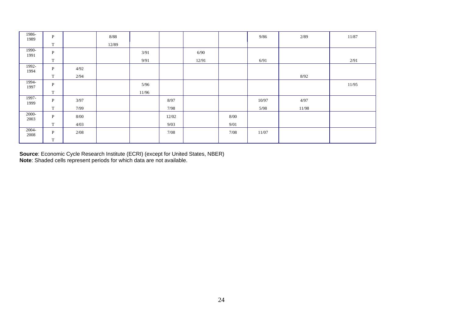| 1986-<br>1989    | $\mathbf{P}$ |      | 8/88  |       |       |       |      | 9/86  | 2/89  | 11/87 |
|------------------|--------------|------|-------|-------|-------|-------|------|-------|-------|-------|
|                  | $\mathbf T$  |      | 12/89 |       |       |       |      |       |       |       |
| 1990-<br>1991    | $\mathbf{P}$ |      |       | 3/91  |       | 6/90  |      |       |       |       |
|                  | $\mathbf T$  |      |       | 9/91  |       | 12/91 |      | 6/91  |       | 2/91  |
| 1992-<br>1994    | $\mathbf{P}$ | 4/92 |       |       |       |       |      |       |       |       |
|                  | $\mathbf T$  | 2/94 |       |       |       |       |      |       | 8/92  |       |
| 1994-<br>1997    | $\mathbf{P}$ |      |       | 5/96  |       |       |      |       |       | 11/95 |
|                  | $\mathbf T$  |      |       | 11/96 |       |       |      |       |       |       |
| 1997-<br>1999    | P            | 3/97 |       |       | 8/97  |       |      | 10/97 | 4/97  |       |
|                  | $\mathbf T$  | 7/99 |       |       | 7/98  |       |      | 5/98  | 11/98 |       |
| $2000 -$<br>2003 | P            | 8/00 |       |       | 12/02 |       | 8/00 |       |       |       |
|                  | $\mathbf T$  | 4/03 |       |       | 9/03  |       | 9/01 |       |       |       |
| $2004 -$<br>2008 | P            | 2/08 |       |       | 7/08  |       | 7/08 | 11/07 |       |       |
|                  | $\mathbf T$  |      |       |       |       |       |      |       |       |       |

**Source**: Economic Cycle Research Institute (ECRI) (except for United States, NBER) **Note**: Shaded cells represent periods for which data are not available.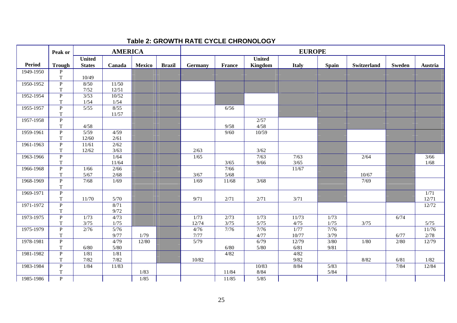## **Table 2: GROWTH RATE CYCLE CHRONOLOGY**

|               | Peak or        |                | <b>AMERICA</b> |               |               |                | <b>EUROPE</b> |                |                   |              |                    |               |         |  |  |  |
|---------------|----------------|----------------|----------------|---------------|---------------|----------------|---------------|----------------|-------------------|--------------|--------------------|---------------|---------|--|--|--|
|               |                | <b>United</b>  |                |               |               |                |               | <b>United</b>  |                   |              |                    |               |         |  |  |  |
| <b>Period</b> | <b>Trough</b>  | <b>States</b>  | Canada         | <b>Mexico</b> | <b>Brazil</b> | <b>Germany</b> | France        | Kingdom        | <b>Italy</b>      | <b>Spain</b> | <b>Switzerland</b> | <b>Sweden</b> | Austria |  |  |  |
| 1949-1950     | P              |                |                |               |               |                |               |                |                   |              |                    |               |         |  |  |  |
|               | T              | 10/49          |                |               |               |                |               |                |                   |              |                    |               |         |  |  |  |
| 1950-1952     | $\overline{P}$ | 8/50           | 11/50          |               |               |                |               |                |                   |              |                    |               |         |  |  |  |
|               | T              | 7/52           | 12/51          |               |               |                |               |                |                   |              |                    |               |         |  |  |  |
| 1952-1954     | $\, {\bf P}$   | 3/53           | 10/52          |               |               |                |               |                |                   |              |                    |               |         |  |  |  |
|               | $\mathbf T$    | 1/54           | 1/54           |               |               |                |               |                |                   |              |                    |               |         |  |  |  |
| 1955-1957     | $\, {\bf P}$   | $5/55$         | 8/55           |               |               |                | 6/56          |                |                   |              |                    |               |         |  |  |  |
|               | T              |                | 11/57          |               |               |                |               |                |                   |              |                    |               |         |  |  |  |
| 1957-1958     | $\overline{P}$ |                |                |               |               |                |               | 2/57           |                   |              |                    |               |         |  |  |  |
|               | $\mathbf T$    | 4/58           |                |               |               |                | 9/58          | 4/58           |                   |              |                    |               |         |  |  |  |
| 1959-1961     | $\mathbf{P}$   | $\frac{5}{59}$ | 4/59           |               |               |                | 9/60          | 10/59          |                   |              |                    |               |         |  |  |  |
|               | $\mathbf T$    | 12/60          | 2/61           |               |               |                |               |                |                   |              |                    |               |         |  |  |  |
| 1961-1963     | $\, {\bf P}$   | 11/61          | 2/62           |               |               |                |               |                |                   |              |                    |               |         |  |  |  |
|               | T              | 12/62          | 3/63           |               |               | 2/63           |               | 3/62           |                   |              |                    |               |         |  |  |  |
| 1963-1966     | $\overline{P}$ |                | 1/64           |               |               | 1/65           |               | 7/63           | 7/63              |              | 2/64               |               | 3/66    |  |  |  |
|               | $\mathbf T$    |                | 11/64          |               |               |                | 3/65          | 9/66           | 3/65              |              |                    |               | 1/68    |  |  |  |
| 1966-1968     | $\, {\bf P}$   | 1/66           | 2/66           |               |               |                | 7/66          |                | 11/67             |              |                    |               |         |  |  |  |
|               | T              | $5/67$         | 2/68           |               |               | 3/67           | 5/68          |                |                   |              | 10/67              |               |         |  |  |  |
| 1968-1969     | $\, {\bf P}$   | 7/68           | 1/69           |               |               | 1/69           | 11/68         | $\frac{3}{68}$ |                   |              | 7/69               |               |         |  |  |  |
|               | T              |                |                |               |               |                |               |                |                   |              |                    |               |         |  |  |  |
| 1969-1971     | $\overline{P}$ |                |                |               |               |                |               |                |                   |              |                    |               | 1/71    |  |  |  |
|               | $\mathbf T$    | 11/70          | $5/70$         |               |               | 9/71           | 2/71          | 2/71           | 3/71              |              |                    |               | 12/71   |  |  |  |
| 1971-1972     | $\, {\bf P}$   |                | 8/71           |               |               |                |               |                |                   |              |                    |               | 12/72   |  |  |  |
|               | T              |                | 9/72           |               |               |                |               |                |                   |              |                    |               |         |  |  |  |
| 1973-1975     | $\overline{P}$ | 1/73           | 4/73           |               |               | 1/73           | 2/73          | 1/73           | 11/73             | 1/73         |                    | 6/74          |         |  |  |  |
|               | $\mathbf T$    | 3/75           | 1/75           |               |               | 12/74          | 3/75          | $5/75$         | 4/75              | 1/75         | $3/75$             |               | $5/75$  |  |  |  |
| 1975-1979     | $\overline{P}$ | 2/76           | $\frac{5}{76}$ |               |               | 4/76           | 7/76          | 7/76           | $\overline{1/77}$ | 7/76         |                    |               | 11/76   |  |  |  |
|               | $\rm T$        |                | 9/77           | 1/79          |               | 7/77           |               | 4/77           | 10/77             | 3/79         |                    | 6/77          | 2/78    |  |  |  |
| 1978-1981     | $\overline{P}$ |                | 4/79           | 12/80         |               | 5/79           |               | 6/79           | 12/79             | 3/80         | 1/80               | 2/80          | 12/79   |  |  |  |
|               | <sup>T</sup>   | 6/80           | $5/80$         |               |               |                | 6/80          | $5/80$         | 6/81              | 9/81         |                    |               |         |  |  |  |
| 1981-1982     | $\, {\bf P}$   | 1/81           | 1/81           |               |               |                | 4/82          |                | 4/82              |              |                    |               |         |  |  |  |
|               | T              | 7/82           | 7/82           |               |               | 10/82          |               |                | 9/82              |              | 8/82               | 6/81          | 1/82    |  |  |  |
| 1983-1984     | $\mathbf{P}$   | 1/84           | 11/83          |               |               |                |               | 10/83          | 8/84              | 5/83         |                    | 7/84          | 12/84   |  |  |  |
|               | $\mathbf T$    |                |                | 1/83          |               |                | 11/84         | 8/84           |                   | $5/84$       |                    |               |         |  |  |  |
| 1985-1986     | $\mathbf{P}$   |                |                | $1/85$        |               |                | 11/85         | $5/85$         |                   |              |                    |               |         |  |  |  |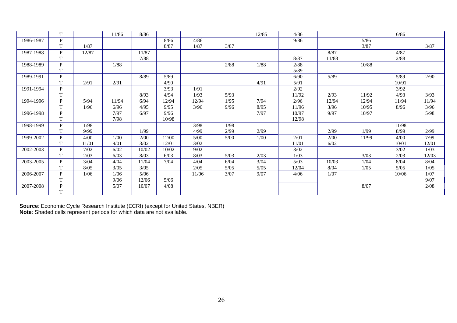|           | T            |       | 11/86 | 8/86  |       |        |        | 12/85  | 4/86   |        |        | 6/86   |          |
|-----------|--------------|-------|-------|-------|-------|--------|--------|--------|--------|--------|--------|--------|----------|
| 1986-1987 | P            |       |       |       | 8/86  | 4/86   |        |        | 9/86   |        | $5/86$ |        |          |
|           | $\mathbf{T}$ | 1/87  |       |       | 8/87  | 1/87   | 3/87   |        |        |        | 3/87   |        | 3/87     |
| 1987-1988 | P            | 12/87 |       | 11/87 |       |        |        |        |        | 8/87   |        | 4/87   |          |
|           | T            |       |       | 7/88  |       |        |        |        | 8/87   | 11/88  |        | 2/88   |          |
| 1988-1989 | P            |       | 1/88  |       |       |        | 2/88   | 1/88   | 2/88   |        | 10/88  |        |          |
|           | $\mathbf{T}$ |       |       |       |       |        |        |        | 5/89   |        |        |        |          |
| 1989-1991 | P            |       |       | 8/89  | 5/89  |        |        |        | 6/90   | 5/89   |        | $5/89$ | 2/90     |
|           | $\mathbf{T}$ | 2/91  | 2/91  |       | 4/90  |        |        | 4/91   | 5/91   |        |        | 10/91  |          |
| 1991-1994 | P            |       |       |       | 3/93  | 1/91   |        |        | 2/92   |        |        | 3/92   |          |
|           | $\mathbf{T}$ |       |       | 8/93  | 4/94  | 1/93   | $5/93$ |        | 11/92  | 2/93   | 11/92  | 4/93   | 3/93     |
| 1994-1996 | P            | 5/94  | 11/94 | 6/94  | 12/94 | 12/94  | $1/95$ | 7/94   | 2/96   | 12/94  | 12/94  | 11/94  | 11/94    |
|           | $\mathbf{T}$ | 1/96  | 6/96  | 4/95  | 9/95  | 3/96   | 9/96   | 8/95   | 11/96  | 3/96   | 10/95  | 8/96   | $3/96$   |
| 1996-1998 | $\mathbf{P}$ |       | 7/97  | 6/97  | 9/96  |        |        | 7/97   | 10/97  | 9/97   | 10/97  |        | 5/98     |
|           | $\mathbf{T}$ |       | 7/98  |       | 10/98 |        |        |        | 12/98  |        |        |        |          |
| 1998-1999 | P            | 1/98  |       |       |       | 3/98   | 1/98   |        |        |        |        | 11/98  |          |
|           | T            | 9/99  |       | 1/99  |       | 4/99   | 2/99   | 2/99   |        | 2/99   | 1/99   | 8/99   | 2/99     |
| 1999-2002 | P            | 4/00  | 1/00  | 2/00  | 12/00 | 5/00   | 5/00   | 1/00   | 2/01   | 2/00   | 11/99  | 4/00   | 7/99     |
|           | T.           | 11/01 | 9/01  | 3/02  | 12/01 | $3/02$ |        |        | 11/01  | 6/02   |        | 10/01  | 12/01    |
| 2002-2003 | P            | 7/02  | 6/02  | 10/02 | 10/02 | $9/02$ |        |        | $3/02$ |        |        | $3/02$ | $1/03$   |
|           | T            | 2/03  | 6/03  | 8/03  | 6/03  | 8/03   | 5/03   | 2/03   | $1/03$ |        | 3/03   | 2/03   | 12/03    |
| 2003-2005 | P            | 3/04  | 4/04  | 11/04 | 7/04  | 4/04   | 6/04   | 3/04   | $5/03$ | 10/03  | 1/04   | 8/04   | 8/04     |
|           | $\mathbf{T}$ | 8/05  | 3/05  | 3/05  |       | 2/05   | 5/05   | $5/05$ | 12/04  | 8/04   | 1/05   | $5/05$ | $1/05$   |
| 2006-2007 | P            | 1/06  | 1/06  | 5/06  |       | 11/06  | 3/07   | 9/07   | 4/06   | $1/07$ |        | 10/06  | $1/07\,$ |
|           | $\mathbf{T}$ |       | 9/06  | 12/06 | 5/06  |        |        |        |        |        |        |        | $9/07$   |
| 2007-2008 | $\mathbf{P}$ |       | 5/07  | 10/07 | 4/08  |        |        |        |        |        | 8/07   |        | 2/08     |
|           | T            |       |       |       |       |        |        |        |        |        |        |        |          |

**Source**: Economic Cycle Research Institute (ECRI) (except for United States, NBER) **Note**: Shaded cells represent periods for which data are not available.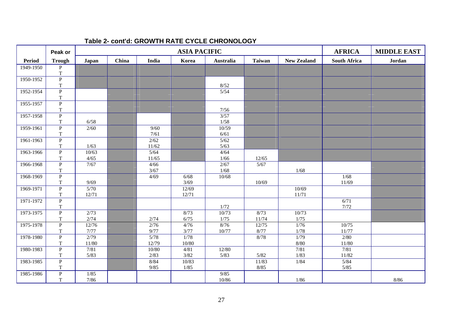|               | Peak or                       |                         |       |                         |        | <b>AFRICA</b>    | <b>MIDDLE EAST</b>      |                    |                     |               |
|---------------|-------------------------------|-------------------------|-------|-------------------------|--------|------------------|-------------------------|--------------------|---------------------|---------------|
| <b>Period</b> | <b>Trough</b>                 | <b>Japan</b>            | China | <b>India</b>            | Korea  | <b>Australia</b> | <b>Taiwan</b>           | <b>New Zealand</b> | <b>South Africa</b> | <b>Jordan</b> |
| 1949-1950     | P                             |                         |       |                         |        |                  |                         |                    |                     |               |
|               | $\mathbf T$                   |                         |       |                         |        |                  |                         |                    |                     |               |
| 1950-1952     | $\, {\bf P}$                  |                         |       |                         |        |                  |                         |                    |                     |               |
|               | $\mathbf T$                   |                         |       |                         |        | 8/52             |                         |                    |                     |               |
| 1952-1954     | ${\bf P}$                     |                         |       |                         |        | $\frac{5}{54}$   |                         |                    |                     |               |
|               | $\mathbf T$                   |                         |       |                         |        |                  |                         |                    |                     |               |
| 1955-1957     | $\overline{P}$                |                         |       |                         |        |                  |                         |                    |                     |               |
|               | $\mathbf T$                   |                         |       |                         |        | 7/56             |                         |                    |                     |               |
| 1957-1958     | $\overline{P}$                |                         |       |                         |        | $\frac{3}{57}$   |                         |                    |                     |               |
|               | $\mathbf T$                   | 6/58                    |       |                         |        | 1/58             |                         |                    |                     |               |
| 1959-1961     | $\overline{P}$                | $\frac{2}{60}$          |       | 9/60                    |        | 10/59            |                         |                    |                     |               |
|               | $\mathbf T$                   |                         |       | 7/61                    |        | 6/61             |                         |                    |                     |               |
| 1961-1963     | ${\bf P}$                     |                         |       | 2/62                    |        | $\frac{5}{62}$   |                         |                    |                     |               |
|               | $\mathbf T$<br>$\overline{P}$ | 1/63<br>$\frac{10}{63}$ |       | 11/62<br>$\frac{5}{64}$ |        | $5/63$<br>4/64   |                         |                    |                     |               |
| 1963-1966     | $\mathbf T$                   |                         |       | 11/65                   |        | $1/66$           |                         |                    |                     |               |
| 1966-1968     | $\overline{P}$                | 4/65<br>7/67            |       | 4/66                    |        | 2/67             | 12/65<br>$\frac{5}{67}$ |                    |                     |               |
|               | $\mathbf T$                   |                         |       | $3/67$                  |        | 1/68             |                         | 1/68               |                     |               |
| 1968-1969     | $\mathbf{P}$                  |                         |       | 4/69                    | 6/68   | 10/68            |                         |                    | 1/68                |               |
|               | T                             | 9/69                    |       |                         | 3/69   |                  | 10/69                   |                    | 11/69               |               |
| 1969-1971     | ${\bf P}$                     | $\frac{5}{70}$          |       |                         | 12/69  |                  |                         | 10/69              |                     |               |
|               | $\mathbf T$                   | 12/71                   |       |                         | 12/71  |                  |                         | 11/71              |                     |               |
| 1971-1972     | $\overline{P}$                |                         |       |                         |        |                  |                         |                    | 6/71                |               |
|               | $\mathbf T$                   |                         |       |                         |        | 1/72             |                         |                    | 7/72                |               |
| 1973-1975     | $\overline{P}$                | $\sqrt{2/73}$           |       |                         | 8/73   | 10/73            | 8/73                    | 10/73              |                     |               |
|               | $\mathbf T$                   | 2/74                    |       | 2/74                    | 6/75   | 1/75             | 11/74                   | 1/75               |                     |               |
| 1975-1978     | $\overline{P}$                | 12/76                   |       | 2/76                    | 4/76   | 8/76             | 12/75                   | $\frac{1}{76}$     | 10/75               |               |
|               | $\mathbf T$                   | 7/77                    |       | 9/77                    | 3/77   | 10/77            | 8/77                    | 1/78               | 11/77               |               |
| 1978-1980     | $\overline{P}$                | 2/79                    |       | $\frac{5}{78}$          | 1/78   |                  | 8/78                    | 1/79               | 2/80                |               |
|               | T                             | 11/80                   |       | 12/79                   | 10/80  |                  |                         | 8/80               | 11/80               |               |
| 1980-1983     | $\overline{P}$                | 7/81                    |       | 10/80                   | 4/81   | 12/80            |                         | 7/81               | 7/81                |               |
|               | $\mathbf T$                   | 5/83                    |       | 2/83                    | $3/82$ | 5/83             | $5/82$                  | 1/83               | 11/82               |               |
| 1983-1985     | $\overline{P}$                |                         |       | 8/84                    | 10/83  |                  | 11/83                   | 1/84               | 5/84                |               |
|               | $\mathbf T$                   |                         |       | 9/85                    | $1/85$ |                  | 8/85                    |                    | 5/85                |               |
| 1985-1986     | $\overline{P}$                | 1/85                    |       |                         |        | 9/85             |                         |                    |                     |               |
|               | $\mathbf T$                   | 7/86                    |       |                         |        | 10/86            |                         | 1/86               |                     | 8/86          |

# **Table 2- cont'd: GROWTH RATE CYCLE CHRONOLOGY**